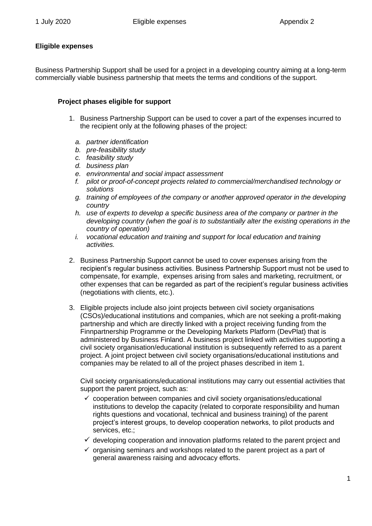## **Eligible expenses**

Business Partnership Support shall be used for a project in a developing country aiming at a long-term commercially viable business partnership that meets the terms and conditions of the support.

## **Project phases eligible for support**

- 1. Business Partnership Support can be used to cover a part of the expenses incurred to the recipient only at the following phases of the project:
	- *a. partner identification*
	- *b. pre-feasibility study*
	- *c. feasibility study*
	- *d. business plan*
	- *e. environmental and social impact assessment*
	- *f. pilot or proof-of-concept projects related to commercial/merchandised technology or solutions*
	- *g. training of employees of the company or another approved operator in the developing country*
	- *h. use of experts to develop a specific business area of the company or partner in the developing country (when the goal is to substantially alter the existing operations in the country of operation)*
	- *i. vocational education and training and support for local education and training activities.*
- 2. Business Partnership Support cannot be used to cover expenses arising from the recipient's regular business activities. Business Partnership Support must not be used to compensate, for example, expenses arising from sales and marketing, recruitment, or other expenses that can be regarded as part of the recipient's regular business activities (negotiations with clients, etc.).
- 3. Eligible projects include also joint projects between civil society organisations (CSOs)/educational institutions and companies, which are not seeking a profit-making partnership and which are directly linked with a project receiving funding from the Finnpartnership Programme or the Developing Markets Platform (DevPlat) that is administered by Business Finland. A business project linked with activities supporting a civil society organisation/educational institution is subsequently referred to as a parent project. A joint project between civil society organisations/educational institutions and companies may be related to all of the project phases described in item 1.

Civil society organisations/educational institutions may carry out essential activities that support the parent project, such as:

- ✓ cooperation between companies and civil society organisations/educational institutions to develop the capacity (related to corporate responsibility and human rights questions and vocational, technical and business training) of the parent project's interest groups, to develop cooperation networks, to pilot products and services, etc.;
- $\checkmark$  developing cooperation and innovation platforms related to the parent project and
- $\checkmark$  organising seminars and workshops related to the parent project as a part of general awareness raising and advocacy efforts.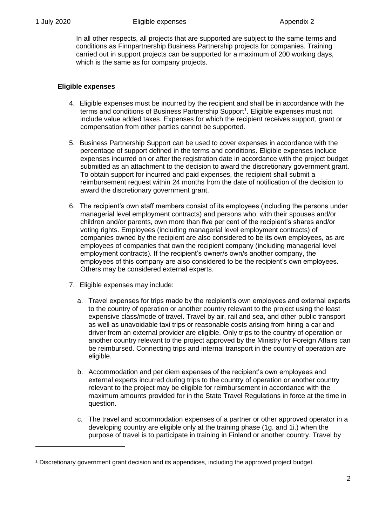In all other respects, all projects that are supported are subject to the same terms and conditions as Finnpartnership Business Partnership projects for companies. Training carried out in support projects can be supported for a maximum of 200 working days, which is the same as for company projects.

## **Eligible expenses**

- 4. Eligible expenses must be incurred by the recipient and shall be in accordance with the terms and conditions of Business Partnership Support<sup>1</sup>. Eligible expenses must not include value added taxes. Expenses for which the recipient receives support, grant or compensation from other parties cannot be supported.
- 5. Business Partnership Support can be used to cover expenses in accordance with the percentage of support defined in the terms and conditions. Eligible expenses include expenses incurred on or after the registration date in accordance with the project budget submitted as an attachment to the decision to award the discretionary government grant. To obtain support for incurred and paid expenses, the recipient shall submit a reimbursement request within 24 months from the date of notification of the decision to award the discretionary government grant.
- 6. The recipient's own staff members consist of its employees (including the persons under managerial level employment contracts) and persons who, with their spouses and/or children and/or parents, own more than five per cent of the recipient's shares and/or voting rights. Employees (including managerial level employment contracts) of companies owned by the recipient are also considered to be its own employees, as are employees of companies that own the recipient company (including managerial level employment contracts). If the recipient's owner/s own/s another company, the employees of this company are also considered to be the recipient's own employees. Others may be considered external experts.
- 7. Eligible expenses may include:
	- a. Travel expenses for trips made by the recipient's own employees and external experts to the country of operation or another country relevant to the project using the least expensive class/mode of travel. Travel by air, rail and sea, and other public transport as well as unavoidable taxi trips or reasonable costs arising from hiring a car and driver from an external provider are eligible. Only trips to the country of operation or another country relevant to the project approved by the Ministry for Foreign Affairs can be reimbursed. Connecting trips and internal transport in the country of operation are eligible.
	- b. Accommodation and per diem expenses of the recipient's own employees and external experts incurred during trips to the country of operation or another country relevant to the project may be eligible for reimbursement in accordance with the maximum amounts provided for in the State Travel Regulations in force at the time in question.
	- c. The travel and accommodation expenses of a partner or other approved operator in a developing country are eligible only at the training phase (1g. and 1i.) when the purpose of travel is to participate in training in Finland or another country. Travel by

<sup>1</sup> Discretionary government grant decision and its appendices, including the approved project budget.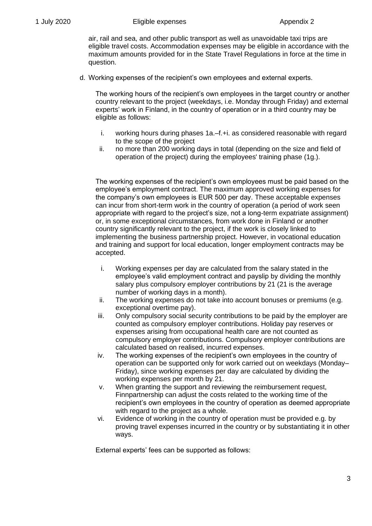air, rail and sea, and other public transport as well as unavoidable taxi trips are eligible travel costs. Accommodation expenses may be eligible in accordance with the maximum amounts provided for in the State Travel Regulations in force at the time in question.

d. Working expenses of the recipient's own employees and external experts.

The working hours of the recipient's own employees in the target country or another country relevant to the project (weekdays, i.e. Monday through Friday) and external experts' work in Finland, in the country of operation or in a third country may be eligible as follows:

- i. working hours during phases 1a.–f.+i. as considered reasonable with regard to the scope of the project
- ii. no more than 200 working days in total (depending on the size and field of operation of the project) during the employees' training phase (1g.).

The working expenses of the recipient's own employees must be paid based on the employee's employment contract. The maximum approved working expenses for the company's own employees is EUR 500 per day. These acceptable expenses can incur from short-term work in the country of operation (a period of work seen appropriate with regard to the project's size, not a long-term expatriate assignment) or, in some exceptional circumstances, from work done in Finland or another country significantly relevant to the project, if the work is closely linked to implementing the business partnership project. However, in vocational education and training and support for local education, longer employment contracts may be accepted.

- i. Working expenses per day are calculated from the salary stated in the employee's valid employment contract and payslip by dividing the monthly salary plus compulsory employer contributions by 21 (21 is the average number of working days in a month).
- ii. The working expenses do not take into account bonuses or premiums (e.g. exceptional overtime pay).
- iii. Only compulsory social security contributions to be paid by the employer are counted as compulsory employer contributions. Holiday pay reserves or expenses arising from occupational health care are not counted as compulsory employer contributions. Compulsory employer contributions are calculated based on realised, incurred expenses.
- iv. The working expenses of the recipient's own employees in the country of operation can be supported only for work carried out on weekdays (Monday– Friday), since working expenses per day are calculated by dividing the working expenses per month by 21.
- v. When granting the support and reviewing the reimbursement request, Finnpartnership can adjust the costs related to the working time of the recipient's own employees in the country of operation as deemed appropriate with regard to the project as a whole.
- vi. Evidence of working in the country of operation must be provided e.g. by proving travel expenses incurred in the country or by substantiating it in other ways.

External experts' fees can be supported as follows: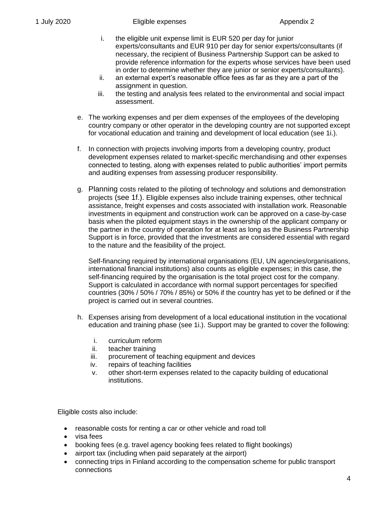- i. the eligible unit expense limit is EUR 520 per day for junior experts/consultants and EUR 910 per day for senior experts/consultants (if necessary, the recipient of Business Partnership Support can be asked to provide reference information for the experts whose services have been used in order to determine whether they are junior or senior experts/consultants).
- ii. an external expert's reasonable office fees as far as they are a part of the assignment in question.
- iii. the testing and analysis fees related to the environmental and social impact assessment.
- e. The working expenses and per diem expenses of the employees of the developing country company or other operator in the developing country are not supported except for vocational education and training and development of local education (see 1i.).
- f. In connection with projects involving imports from a developing country, product development expenses related to market-specific merchandising and other expenses connected to testing, along with expenses related to public authorities' import permits and auditing expenses from assessing producer responsibility.
- g. Planning costs related to the piloting of technology and solutions and demonstration projects (see 1f.). Eligible expenses also include training expenses, other technical assistance, freight expenses and costs associated with installation work. Reasonable investments in equipment and construction work can be approved on a case-by-case basis when the piloted equipment stays in the ownership of the applicant company or the partner in the country of operation for at least as long as the Business Partnership Support is in force, provided that the investments are considered essential with regard to the nature and the feasibility of the project.

Self-financing required by international organisations (EU, UN agencies/organisations, international financial institutions) also counts as eligible expenses; in this case, the self-financing required by the organisation is the total project cost for the company. Support is calculated in accordance with normal support percentages for specified countries (30% / 50% / 70% / 85%) or 50% if the country has yet to be defined or if the project is carried out in several countries.

- h. Expenses arising from development of a local educational institution in the vocational education and training phase (see 1i.). Support may be granted to cover the following:
	- i. curriculum reform
	- ii. teacher training
	- iii. procurement of teaching equipment and devices
	- iv. repairs of teaching facilities
	- v. other short-term expenses related to the capacity building of educational institutions.

Eligible costs also include:

- reasonable costs for renting a car or other vehicle and road toll
- visa fees
- booking fees (e.g. travel agency booking fees related to flight bookings)
- airport tax (including when paid separately at the airport)
- connecting trips in Finland according to the compensation scheme for public transport connections